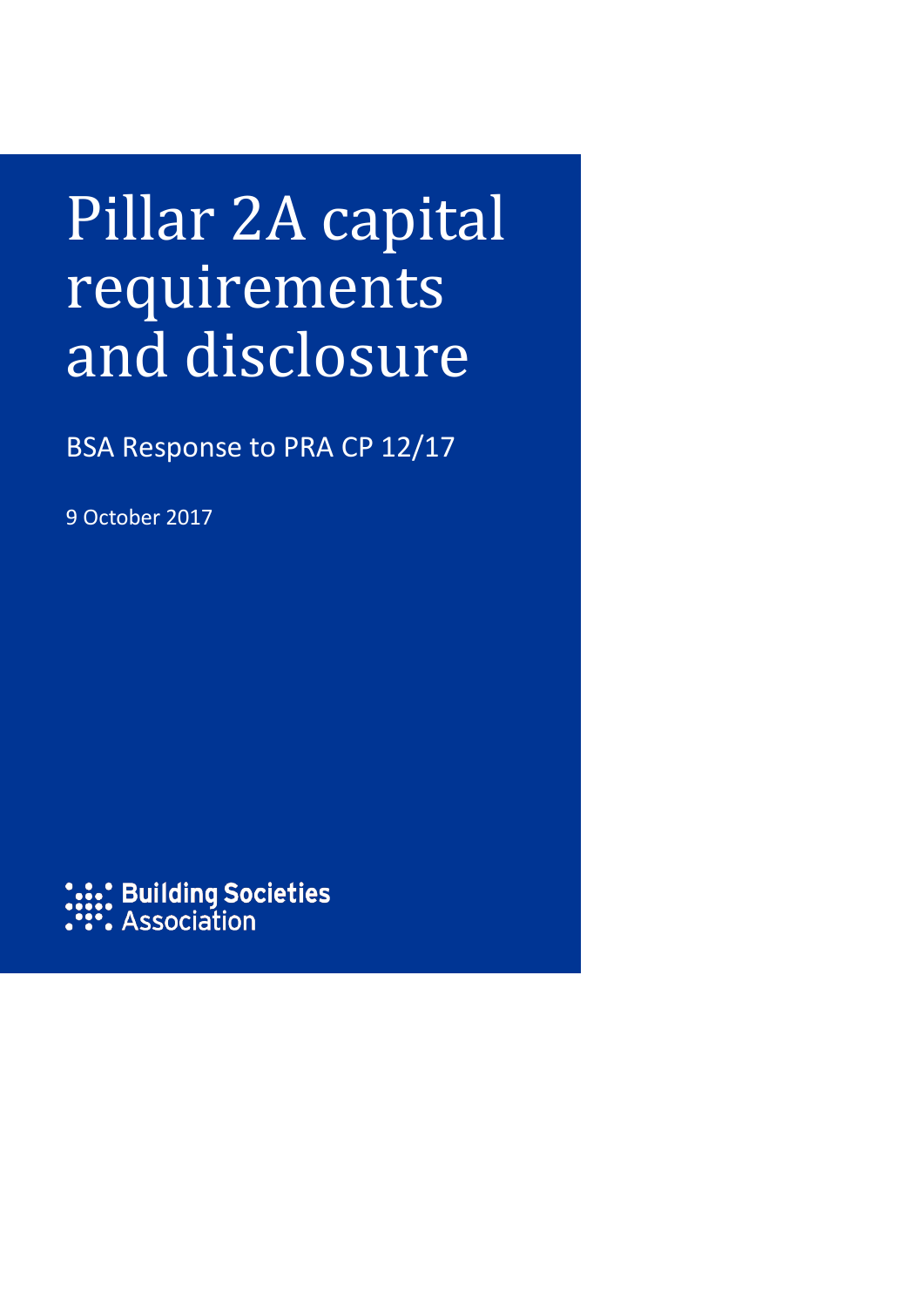## Pillar 2A capital requirements and disclosure

BSA Response to PRA CP 12/17

9 October 2017

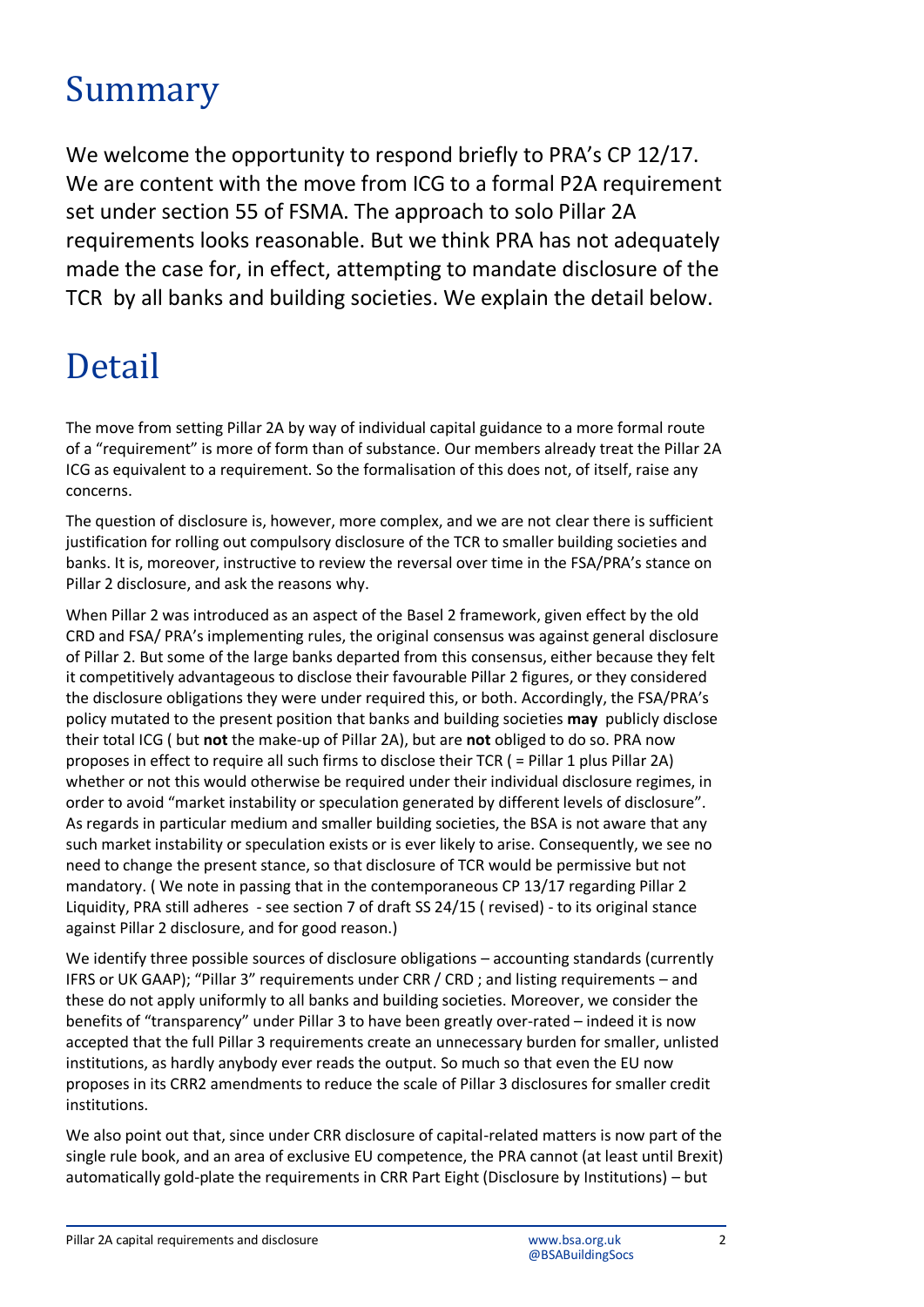## Summary

We welcome the opportunity to respond briefly to PRA's CP 12/17. We are content with the move from ICG to a formal P2A requirement set under section 55 of FSMA. The approach to solo Pillar 2A requirements looks reasonable. But we think PRA has not adequately made the case for, in effect, attempting to mandate disclosure of the TCR by all banks and building societies. We explain the detail below.

## Detail

The move from setting Pillar 2A by way of individual capital guidance to a more formal route of a "requirement" is more of form than of substance. Our members already treat the Pillar 2A ICG as equivalent to a requirement. So the formalisation of this does not, of itself, raise any concerns.

The question of disclosure is, however, more complex, and we are not clear there is sufficient justification for rolling out compulsory disclosure of the TCR to smaller building societies and banks. It is, moreover, instructive to review the reversal over time in the FSA/PRA's stance on Pillar 2 disclosure, and ask the reasons why.

When Pillar 2 was introduced as an aspect of the Basel 2 framework, given effect by the old CRD and FSA/ PRA's implementing rules, the original consensus was against general disclosure of Pillar 2. But some of the large banks departed from this consensus, either because they felt it competitively advantageous to disclose their favourable Pillar 2 figures, or they considered the disclosure obligations they were under required this, or both. Accordingly, the FSA/PRA's policy mutated to the present position that banks and building societies **may** publicly disclose their total ICG ( but **not** the make-up of Pillar 2A), but are **not** obliged to do so. PRA now proposes in effect to require all such firms to disclose their TCR ( = Pillar 1 plus Pillar 2A) whether or not this would otherwise be required under their individual disclosure regimes, in order to avoid "market instability or speculation generated by different levels of disclosure". As regards in particular medium and smaller building societies, the BSA is not aware that any such market instability or speculation exists or is ever likely to arise. Consequently, we see no need to change the present stance, so that disclosure of TCR would be permissive but not mandatory. ( We note in passing that in the contemporaneous CP 13/17 regarding Pillar 2 Liquidity, PRA still adheres - see section 7 of draft SS 24/15 ( revised) - to its original stance against Pillar 2 disclosure, and for good reason.)

We identify three possible sources of disclosure obligations - accounting standards (currently IFRS or UK GAAP); "Pillar 3" requirements under CRR / CRD ; and listing requirements – and these do not apply uniformly to all banks and building societies. Moreover, we consider the benefits of "transparency" under Pillar 3 to have been greatly over-rated – indeed it is now accepted that the full Pillar 3 requirements create an unnecessary burden for smaller, unlisted institutions, as hardly anybody ever reads the output. So much so that even the EU now proposes in its CRR2 amendments to reduce the scale of Pillar 3 disclosures for smaller credit institutions.

We also point out that, since under CRR disclosure of capital-related matters is now part of the single rule book, and an area of exclusive EU competence, the PRA cannot (at least until Brexit) automatically gold-plate the requirements in CRR Part Eight (Disclosure by Institutions) – but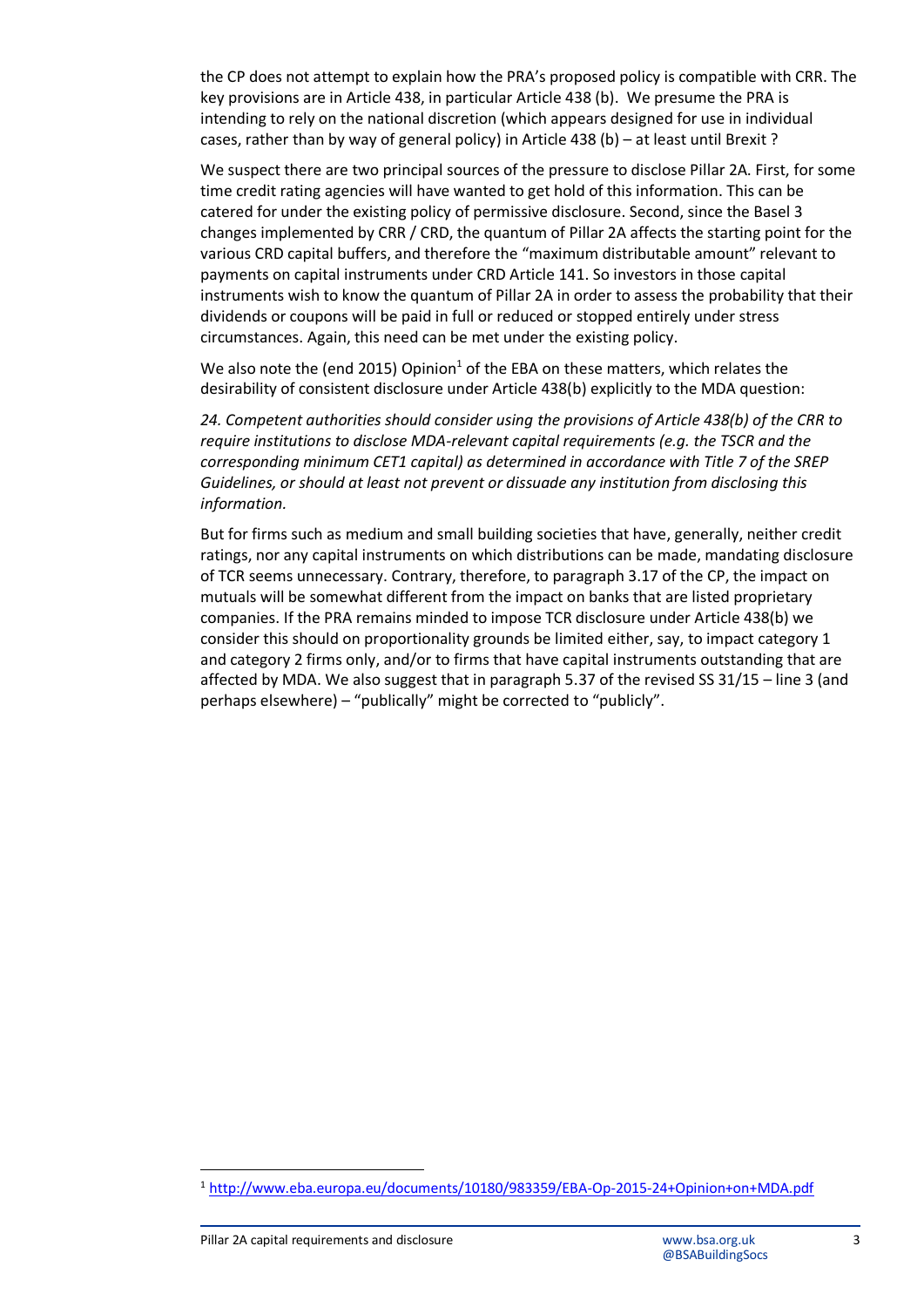the CP does not attempt to explain how the PRA's proposed policy is compatible with CRR. The key provisions are in Article 438, in particular Article 438 (b). We presume the PRA is intending to rely on the national discretion (which appears designed for use in individual cases, rather than by way of general policy) in Article 438 (b) – at least until Brexit ?

We suspect there are two principal sources of the pressure to disclose Pillar 2A. First, for some time credit rating agencies will have wanted to get hold of this information. This can be catered for under the existing policy of permissive disclosure. Second, since the Basel 3 changes implemented by CRR / CRD, the quantum of Pillar 2A affects the starting point for the various CRD capital buffers, and therefore the "maximum distributable amount" relevant to payments on capital instruments under CRD Article 141. So investors in those capital instruments wish to know the quantum of Pillar 2A in order to assess the probability that their dividends or coupons will be paid in full or reduced or stopped entirely under stress circumstances. Again, this need can be met under the existing policy.

We also note the (end 2015) Opinion<sup>1</sup> of the EBA on these matters, which relates the desirability of consistent disclosure under Article 438(b) explicitly to the MDA question:

*24. Competent authorities should consider using the provisions of Article 438(b) of the CRR to require institutions to disclose MDA-relevant capital requirements (e.g. the TSCR and the corresponding minimum CET1 capital) as determined in accordance with Title 7 of the SREP Guidelines, or should at least not prevent or dissuade any institution from disclosing this information.* 

But for firms such as medium and small building societies that have, generally, neither credit ratings, nor any capital instruments on which distributions can be made, mandating disclosure of TCR seems unnecessary. Contrary, therefore, to paragraph 3.17 of the CP, the impact on mutuals will be somewhat different from the impact on banks that are listed proprietary companies. If the PRA remains minded to impose TCR disclosure under Article 438(b) we consider this should on proportionality grounds be limited either, say, to impact category 1 and category 2 firms only, and/or to firms that have capital instruments outstanding that are affected by MDA. We also suggest that in paragraph 5.37 of the revised SS 31/15 – line 3 (and perhaps elsewhere) – "publically" might be corrected to "publicly".

 $\overline{\phantom{a}}$ 

<sup>1</sup> <http://www.eba.europa.eu/documents/10180/983359/EBA-Op-2015-24+Opinion+on+MDA.pdf>